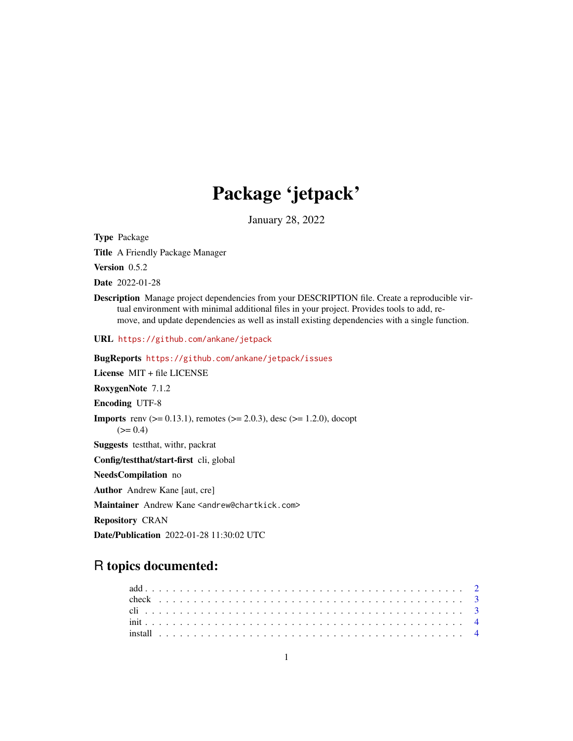## Package 'jetpack'

January 28, 2022

Type Package

Title A Friendly Package Manager

Version 0.5.2

Date 2022-01-28

Description Manage project dependencies from your DESCRIPTION file. Create a reproducible virtual environment with minimal additional files in your project. Provides tools to add, remove, and update dependencies as well as install existing dependencies with a single function.

URL <https://github.com/ankane/jetpack>

BugReports <https://github.com/ankane/jetpack/issues> License MIT + file LICENSE RoxygenNote 7.1.2 Encoding UTF-8 **Imports** renv ( $>= 0.13.1$ ), remotes ( $>= 2.0.3$ ), desc ( $>= 1.2.0$ ), docopt  $(>= 0.4)$ Suggests testthat, withr, packrat Config/testthat/start-first cli, global NeedsCompilation no Author Andrew Kane [aut, cre] Maintainer Andrew Kane <andrew@chartkick.com> Repository CRAN Date/Publication 2022-01-28 11:30:02 UTC

### R topics documented: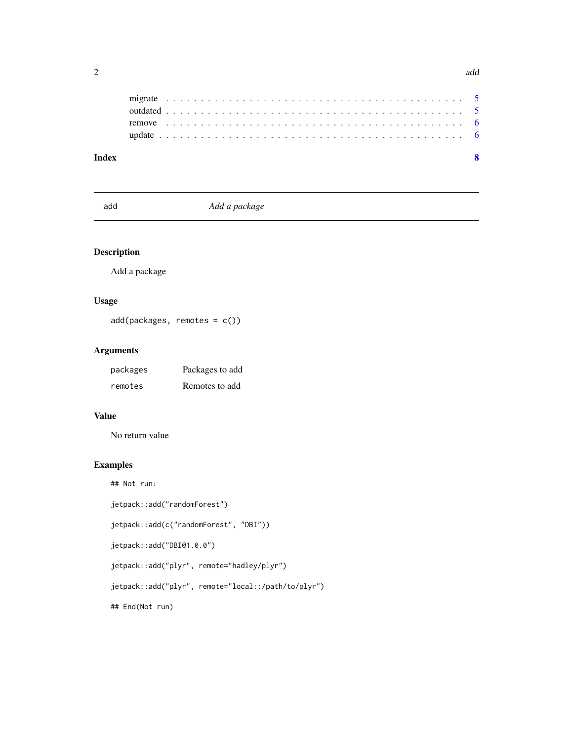<span id="page-1-0"></span>

| Index |  |  |  |  |  |  |  |  |  |  |  |  |  |  |  |  |  |  |  |  |  |  |  |
|-------|--|--|--|--|--|--|--|--|--|--|--|--|--|--|--|--|--|--|--|--|--|--|--|
|       |  |  |  |  |  |  |  |  |  |  |  |  |  |  |  |  |  |  |  |  |  |  |  |
|       |  |  |  |  |  |  |  |  |  |  |  |  |  |  |  |  |  |  |  |  |  |  |  |
|       |  |  |  |  |  |  |  |  |  |  |  |  |  |  |  |  |  |  |  |  |  |  |  |
|       |  |  |  |  |  |  |  |  |  |  |  |  |  |  |  |  |  |  |  |  |  |  |  |

add *Add a package*

#### Description

Add a package

#### Usage

add(packages, remotes = c())

#### Arguments

| packages | Packages to add |
|----------|-----------------|
| remotes  | Remotes to add  |

#### Value

No return value

## Not run:

#### Examples

```
jetpack::add("randomForest")
jetpack::add(c("randomForest", "DBI"))
jetpack::add("DBI@1.0.0")
jetpack::add("plyr", remote="hadley/plyr")
jetpack::add("plyr", remote="local::/path/to/plyr")
## End(Not run)
```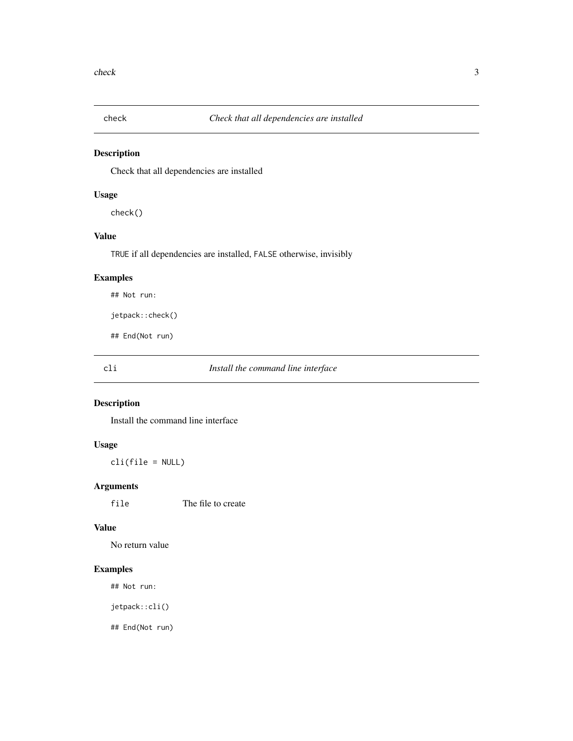<span id="page-2-0"></span>

Check that all dependencies are installed

#### Usage

check()

#### Value

TRUE if all dependencies are installed, FALSE otherwise, invisibly

#### Examples

## Not run:

jetpack::check()

## End(Not run)

cli *Install the command line interface*

#### Description

Install the command line interface

#### Usage

cli(file = NULL)

#### Arguments

file The file to create

#### Value

No return value

#### Examples

## Not run:

jetpack::cli()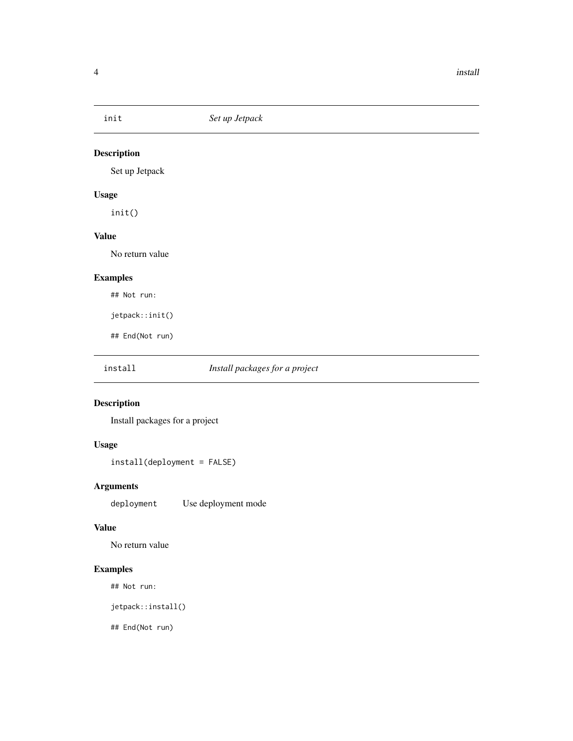<span id="page-3-0"></span>

Set up Jetpack

#### Usage

init()

#### Value

No return value

#### Examples

## Not run:

jetpack::init()

## End(Not run)

#### install *Install packages for a project*

#### Description

Install packages for a project

#### Usage

install(deployment = FALSE)

#### Arguments

deployment Use deployment mode

#### Value

No return value

#### Examples

## Not run:

jetpack::install()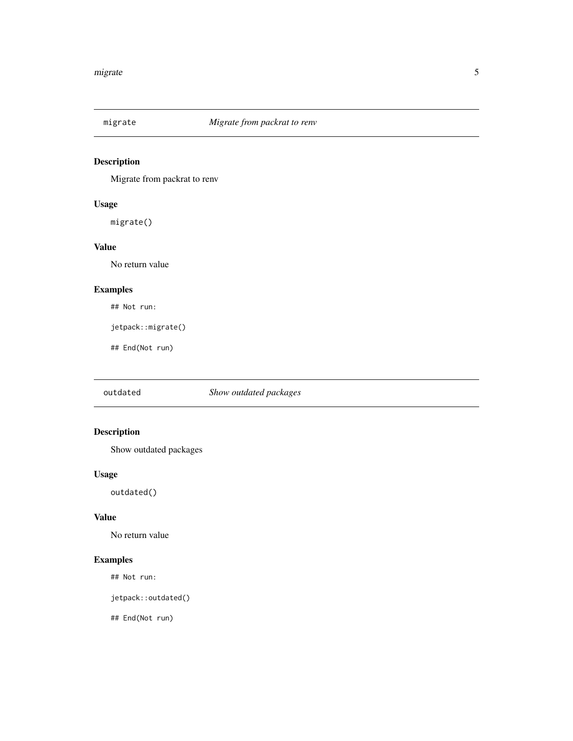<span id="page-4-0"></span>

Migrate from packrat to renv

#### Usage

migrate()

#### Value

No return value

#### Examples

## Not run:

jetpack::migrate()

## End(Not run)

outdated *Show outdated packages*

#### Description

Show outdated packages

#### Usage

outdated()

#### Value

No return value

#### Examples

## Not run:

jetpack::outdated()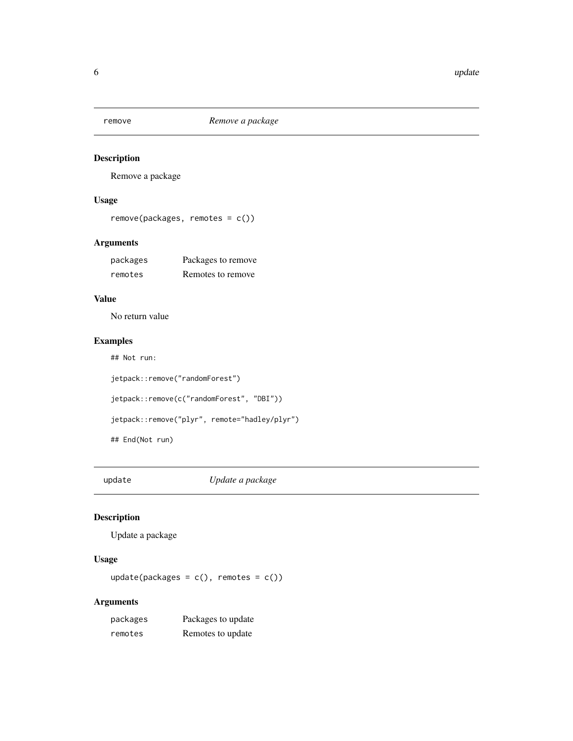<span id="page-5-0"></span>

Remove a package

#### Usage

```
remove(packages, remotes = c())
```
#### Arguments

| packages | Packages to remove |
|----------|--------------------|
| remotes  | Remotes to remove  |

#### Value

No return value

#### Examples

```
## Not run:
jetpack::remove("randomForest")
jetpack::remove(c("randomForest", "DBI"))
jetpack::remove("plyr", remote="hadley/plyr")
## End(Not run)
```
update *Update a package*

#### Description

Update a package

#### Usage

 $update(packages = c(),$  remotes =  $c())$ 

#### Arguments

| packages | Packages to update |
|----------|--------------------|
| remotes  | Remotes to update  |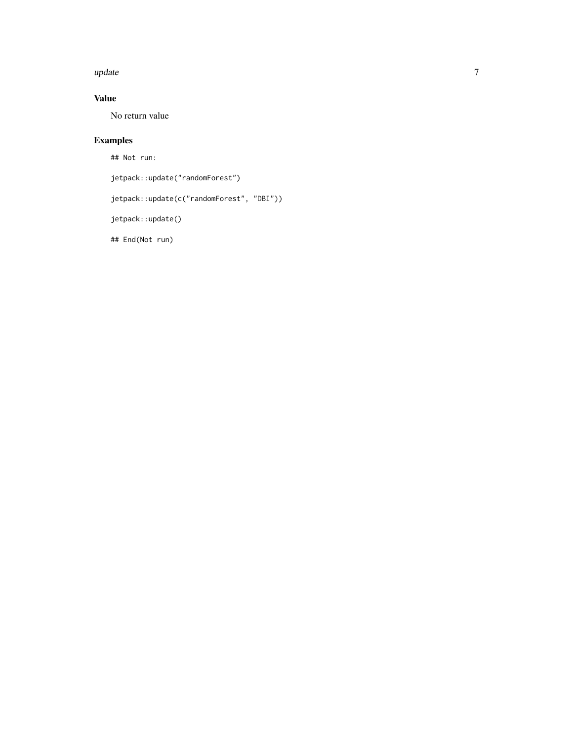#### update and the contract of the contract of the contract of the contract of the contract of the contract of the contract of the contract of the contract of the contract of the contract of the contract of the contract of the

#### Value

No return value

#### Examples

## Not run:

jetpack::update("randomForest")

jetpack::update(c("randomForest", "DBI"))

jetpack::update()